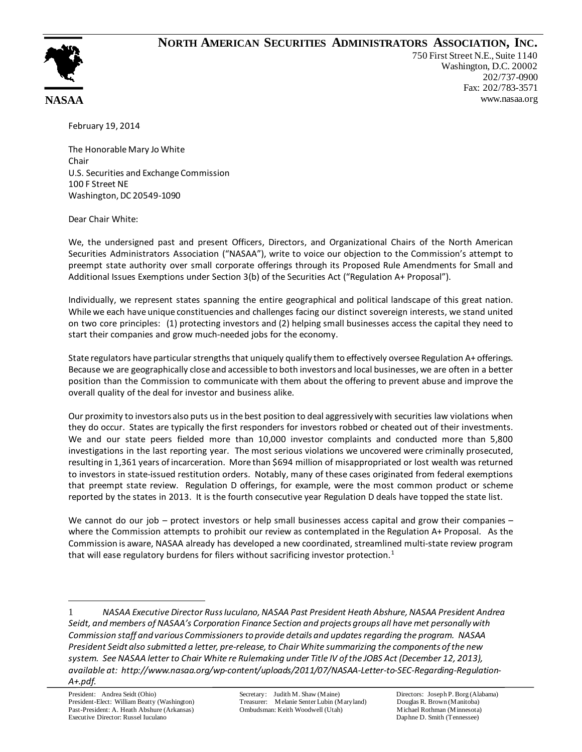## **NORTH AMERICAN SECURITIES ADMINISTRATORS ASSOCIATION, INC.**



750 First Street N.E., Suite 1140 Washington, D.C. 20002 202/737-0900 Fax: 202/783-3571 www.nasaa.org

February 19, 2014

The Honorable Mary Jo White Chair U.S. Securities and Exchange Commission 100 F Street NE Washington, DC 20549-1090

Dear Chair White:

We, the undersigned past and present Officers, Directors, and Organizational Chairs of the North American Securities Administrators Association ("NASAA"), write to voice our objection to the Commission's attempt to preempt state authority over small corporate offerings through its Proposed Rule Amendments for Small and Additional Issues Exemptions under Section 3(b) of the Securities Act ("Regulation A+ Proposal").

Individually, we represent states spanning the entire geographical and political landscape of this great nation. While we each have unique constituencies and challenges facing our distinct sovereign interests, we stand united on two core principles: (1) protecting investors and (2) helping small businesses access the capital they need to start their companies and grow much-needed jobs for the economy.

State regulators have particular strengths that uniquely qualify them to effectively oversee Regulation A+ offerings. Because we are geographically close and accessible to both investors and local businesses, we are often in a better position than the Commission to communicate with them about the offering to prevent abuse and improve the overall quality of the deal for investor and business alike.

Our proximity to investors also puts us in the best position to deal aggressively with securities law violations when they do occur. States are typically the first responders for investors robbed or cheated out of their investments. We and our state peers fielded more than 10,000 investor complaints and conducted more than 5,800 investigations in the last reporting year. The most serious violations we uncovered were criminally prosecuted, resulting in 1,361 years of incarceration. More than \$694 million of misappropriated or lost wealth was returned to investors in state-issued restitution orders. Notably, many of these cases originated from federal exemptions that preempt state review. Regulation D offerings, for example, were the most common product or scheme reported by the states in 2013. It is the fourth consecutive year Regulation D deals have topped the state list.

We cannot do our job – protect investors or help small businesses access capital and grow their companies – where the Commission attempts to prohibit our review as contemplated in the Regulation A+ Proposal. As the Commission is aware, NASAA already has developed a new coordinated, streamlined multi-state review program that will ease regulatory burdens for filers without sacrificing investor protection.<sup>[1](#page-0-0)</sup>

<span id="page-0-0"></span><sup>1</sup> *NASAA Executive Director Russ Iuculano, NASAA Past President Heath Abshure, NASAA President Andrea Seidt, and members of NASAA's Corporation Finance Section and projects groups all have met personally with Commission staff and various Commissioners to provide details and updates regarding the program. NASAA President Seidt also submitted a letter, pre-release, to Chair White summarizing the components of the new system. See NASAA letter to Chair White re Rulemaking under Title IV of the JOBS Act (December 12, 2013), available at: http://www.nasaa.org/wp-content/uploads/2011/07/NASAA-Letter-to-SEC-Regarding-Regulation-A+.pdf.*  $\overline{a}$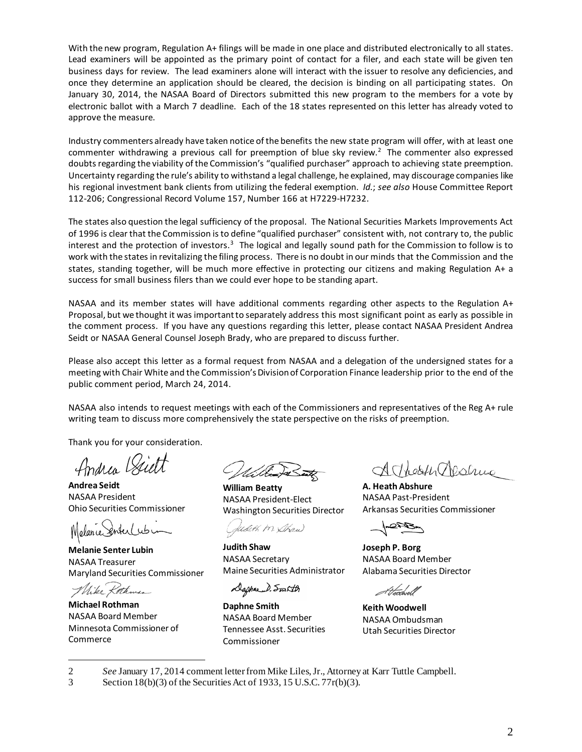With the new program, Regulation A+ filings will be made in one place and distributed electronically to all states. Lead examiners will be appointed as the primary point of contact for a filer, and each state will be given ten business days for review. The lead examiners alone will interact with the issuer to resolve any deficiencies, and once they determine an application should be cleared, the decision is binding on all participating states. On January 30, 2014, the NASAA Board of Directors submitted this new program to the members for a vote by electronic ballot with a March 7 deadline. Each of the 18 states represented on this letter has already voted to approve the measure.

Industry commenters already have taken notice of the benefits the new state program will offer, with at least one commenter withdrawing a previous call for preemption of blue sky review.<sup>[2](#page-1-0)</sup> The commenter also expressed doubts regarding the viability of the Commission's "qualified purchaser" approach to achieving state preemption. Uncertainty regarding the rule's ability to withstand a legal challenge, he explained, may discourage companies like his regional investment bank clients from utilizing the federal exemption. *Id.*; *see also* House Committee Report 112-206; Congressional Record Volume 157, Number 166 at H7229-H7232.

The states also question the legal sufficiency of the proposal. The National Securities Markets Improvements Act of 1996 is clear that the Commission is to define "qualified purchaser" consistent with, not contrary to, the public interest and the protection of investors.<sup>[3](#page-1-1)</sup> The logical and legally sound path for the Commission to follow is to work with the states in revitalizing the filing process. There is no doubt in our minds that the Commission and the states, standing together, will be much more effective in protecting our citizens and making Regulation A+ a success for small business filers than we could ever hope to be standing apart.

NASAA and its member states will have additional comments regarding other aspects to the Regulation A+ Proposal, but we thought it was important to separately address this most significant point as early as possible in the comment process. If you have any questions regarding this letter, please contact NASAA President Andrea Seidt or NASAA General Counsel Joseph Brady, who are prepared to discuss further.

Please also accept this letter as a formal request from NASAA and a delegation of the undersigned states for a meeting with Chair White and the Commission's Division of Corporation Finance leadership prior to the end of the public comment period, March 24, 2014.

NASAA also intends to request meetings with each of the Commissioners and representatives of the Reg A+ rule writing team to discuss more comprehensively the state perspective on the risks of preemption.

Thank you for your consideration.

**Andrea Seidt** NASAA President Ohio Securities Commissioner

Melancei

**Melanie Senter Lubin** NASAA Treasurer Maryland Securities Commissioner

Mike Koth

**Michael Rothman** NASAA Board Member Minnesota Commissioner of Commerce

**William Beatty** NASAA President-Elect Washington Securities Director

redith M. Shaw

**Judith Shaw** NASAA Secretary Maine Securities Administrator

Daphae D. Smith

**Daphne Smith** NASAA Board Member Tennessee Asst. Securities Commissioner

AMeoff Mesline

**A. Heath Abshure** NASAA Past-President Arkansas Securities Commissioner

**Joseph P. Borg** NASAA Board Member Alabama Securities Director

t t*troc*hvell

**Keith Woodwell** NASAA Ombudsman Utah Securities Director

<span id="page-1-0"></span>2 *See* January 17, 2014 comment letter from Mike Liles, Jr., Attorney at Karr Tuttle Campbell.<br>3 Section 18(b)(3) of the Securities Act of 1933, 15 U.S.C. 77r(b)(3).  $\overline{a}$ 

<span id="page-1-1"></span>Section  $18(b)(3)$  of the Securities Act of 1933, 15 U.S.C.  $77r(b)(3)$ .